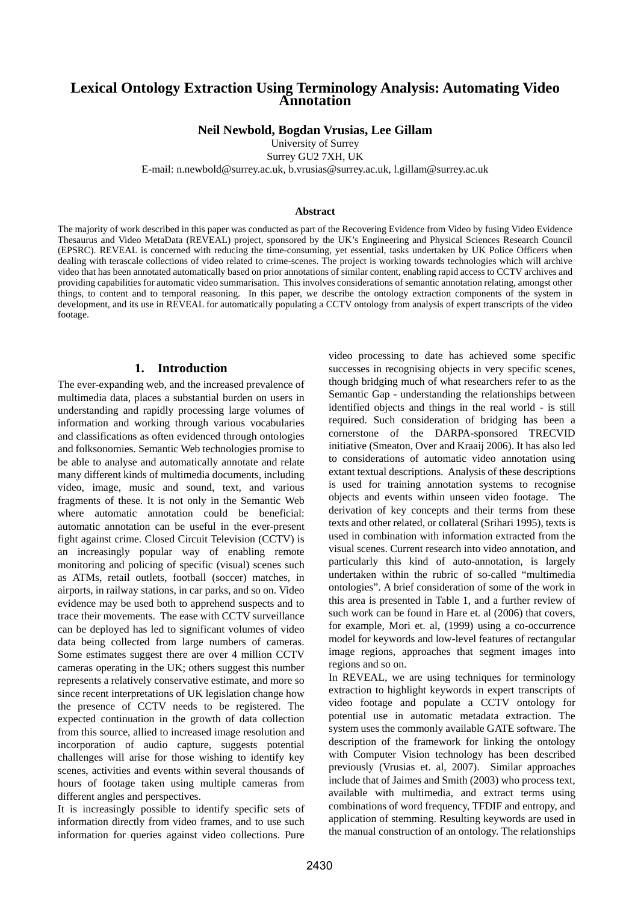# **Lexical Ontology Extraction Using Terminology Analysis: Automating Video Annotation**

**Neil Newbold, Bogdan Vrusias, Lee Gillam** 

University of Surrey

Surrey GU2 7XH, UK

E-mail: n.newbold@surrey.ac.uk, b.vrusias@surrey.ac.uk, l.gillam@surrey.ac.uk

#### **Abstract**

The majority of work described in this paper was conducted as part of the Recovering Evidence from Video by fusing Video Evidence Thesaurus and Video MetaData (REVEAL) project, sponsored by the UK's Engineering and Physical Sciences Research Council (EPSRC). REVEAL is concerned with reducing the time-consuming, yet essential, tasks undertaken by UK Police Officers when dealing with terascale collections of video related to crime-scenes. The project is working towards technologies which will archive video that has been annotated automatically based on prior annotations of similar content, enabling rapid access to CCTV archives and providing capabilities for automatic video summarisation. This involves considerations of semantic annotation relating, amongst other things, to content and to temporal reasoning. In this paper, we describe the ontology extraction components of the system in development, and its use in REVEAL for automatically populating a CCTV ontology from analysis of expert transcripts of the video footage.

## **1. Introduction**

The ever-expanding web, and the increased prevalence of multimedia data, places a substantial burden on users in understanding and rapidly processing large volumes of information and working through various vocabularies and classifications as often evidenced through ontologies and folksonomies. Semantic Web technologies promise to be able to analyse and automatically annotate and relate many different kinds of multimedia documents, including video, image, music and sound, text, and various fragments of these. It is not only in the Semantic Web where automatic annotation could be beneficial: automatic annotation can be useful in the ever-present fight against crime. Closed Circuit Television (CCTV) is an increasingly popular way of enabling remote monitoring and policing of specific (visual) scenes such as ATMs, retail outlets, football (soccer) matches, in airports, in railway stations, in car parks, and so on. Video evidence may be used both to apprehend suspects and to trace their movements. The ease with CCTV surveillance can be deployed has led to significant volumes of video data being collected from large numbers of cameras. Some estimates suggest there are over 4 million CCTV cameras operating in the UK; others suggest this number represents a relatively conservative estimate, and more so since recent interpretations of UK legislation change how the presence of CCTV needs to be registered. The expected continuation in the growth of data collection from this source, allied to increased image resolution and incorporation of audio capture, suggests potential challenges will arise for those wishing to identify key scenes, activities and events within several thousands of hours of footage taken using multiple cameras from different angles and perspectives.

It is increasingly possible to identify specific sets of information directly from video frames, and to use such information for queries against video collections. Pure video processing to date has achieved some specific successes in recognising objects in very specific scenes, though bridging much of what researchers refer to as the Semantic Gap - understanding the relationships between identified objects and things in the real world - is still required. Such consideration of bridging has been a cornerstone of the DARPA-sponsored TRECVID initiative (Smeaton, Over and Kraaij 2006). It has also led to considerations of automatic video annotation using extant textual descriptions. Analysis of these descriptions is used for training annotation systems to recognise objects and events within unseen video footage. The derivation of key concepts and their terms from these texts and other related, or collateral (Srihari 1995), texts is used in combination with information extracted from the visual scenes. Current research into video annotation, and particularly this kind of auto-annotation, is largely undertaken within the rubric of so-called "multimedia ontologies". A brief consideration of some of the work in this area is presented in Table 1, and a further review of such work can be found in Hare et. al (2006) that covers, for example, Mori et. al, (1999) using a co-occurrence model for keywords and low-level features of rectangular image regions, approaches that segment images into regions and so on.

In REVEAL, we are using techniques for terminology extraction to highlight keywords in expert transcripts of video footage and populate a CCTV ontology for potential use in automatic metadata extraction. The system uses the commonly available GATE software. The description of the framework for linking the ontology with Computer Vision technology has been described previously (Vrusias et. al, 2007). Similar approaches include that of Jaimes and Smith (2003) who process text, available with multimedia, and extract terms using combinations of word frequency, TFDIF and entropy, and application of stemming. Resulting keywords are used in the manual construction of an ontology. The relationships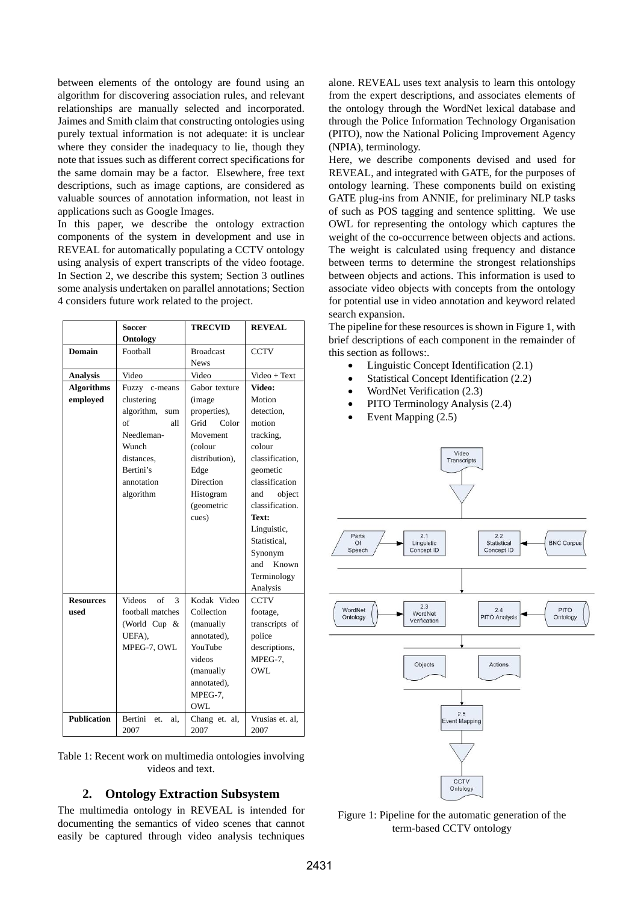between elements of the ontology are found using an algorithm for discovering association rules, and relevant relationships are manually selected and incorporated. Jaimes and Smith claim that constructing ontologies using purely textual information is not adequate: it is unclear where they consider the inadequacy to lie, though they note that issues such as different correct specifications for the same domain may be a factor. Elsewhere, free text descriptions, such as image captions, are considered as valuable sources of annotation information, not least in applications such as Google Images.

In this paper, we describe the ontology extraction components of the system in development and use in REVEAL for automatically populating a CCTV ontology using analysis of expert transcripts of the video footage. In Section 2, we describe this system; Section 3 outlines some analysis undertaken on parallel annotations; Section 4 considers future work related to the project.

|                    | Soccer                   | <b>TRECVID</b>   | <b>REVEAL</b>   |
|--------------------|--------------------------|------------------|-----------------|
|                    | Ontology                 |                  |                 |
| <b>Domain</b>      | Football                 | <b>Broadcast</b> | <b>CCTV</b>     |
|                    |                          | <b>News</b>      |                 |
| <b>Analysis</b>    | Video                    | Video            | Video + Text    |
| <b>Algorithms</b>  | Fuzzy c-means            | Gabor texture    | Video:          |
| employed           | clustering               | (image           | Motion          |
|                    | algorithm,<br>sum        | properties),     | detection,      |
|                    | $\sigma$ f<br>all        | Grid<br>Color    | motion          |
|                    | Needleman-               | Movement         | tracking,       |
|                    | Wunch                    | (colour          | colour          |
|                    | distances.               | distribution),   | classification. |
|                    | Bertini's                | Edge             | geometic        |
|                    | annotation               | Direction        | classification  |
|                    | algorithm                | Histogram        | object<br>and   |
|                    |                          | (geometric       | classification. |
|                    |                          | cues)            | Text:           |
|                    |                          |                  | Linguistic,     |
|                    |                          |                  | Statistical.    |
|                    |                          |                  | Synonym         |
|                    |                          |                  | Known<br>and    |
|                    |                          |                  | Terminology     |
|                    |                          |                  | Analysis        |
| <b>Resources</b>   | <b>Videos</b><br>of<br>3 | Kodak Video      | <b>CCTV</b>     |
| used               | football matches         | Collection       | footage,        |
|                    | (World Cup &             | (manually        | transcripts of  |
|                    | UEFA),                   | annotated),      | police          |
|                    | MPEG-7, OWL              | YouTube          | descriptions,   |
|                    |                          | videos           | MPEG-7,         |
|                    |                          | (manually        | OWL             |
|                    |                          | annotated),      |                 |
|                    |                          | MPEG-7.          |                 |
|                    |                          | OWL              |                 |
| <b>Publication</b> | Bertini<br>et.<br>al.    | Chang et. al,    | Vrusias et. al. |
|                    | 2007                     | 2007             | 2007            |

Table 1: Recent work on multimedia ontologies involving videos and text.

# **2. Ontology Extraction Subsystem**

The multimedia ontology in REVEAL is intended for documenting the semantics of video scenes that cannot easily be captured through video analysis techniques

alone. REVEAL uses text analysis to learn this ontology from the expert descriptions, and associates elements of the ontology through the WordNet lexical database and through the Police Information Technology Organisation (PITO), now the National Policing Improvement Agency (NPIA), terminology.

Here, we describe components devised and used for REVEAL, and integrated with GATE, for the purposes of ontology learning. These components build on existing GATE plug-ins from ANNIE, for preliminary NLP tasks of such as POS tagging and sentence splitting. We use OWL for representing the ontology which captures the weight of the co-occurrence between objects and actions. The weight is calculated using frequency and distance between terms to determine the strongest relationships between objects and actions. This information is used to associate video objects with concepts from the ontology for potential use in video annotation and keyword related search expansion.

The pipeline for these resources is shown in Figure 1, with brief descriptions of each component in the remainder of this section as follows:.

- Linguistic Concept Identification (2.1)
- Statistical Concept Identification (2.2)
- WordNet Verification (2.3)
- PITO Terminology Analysis (2.4)
- Event Mapping  $(2.5)$



Figure 1: Pipeline for the automatic generation of the term-based CCTV ontology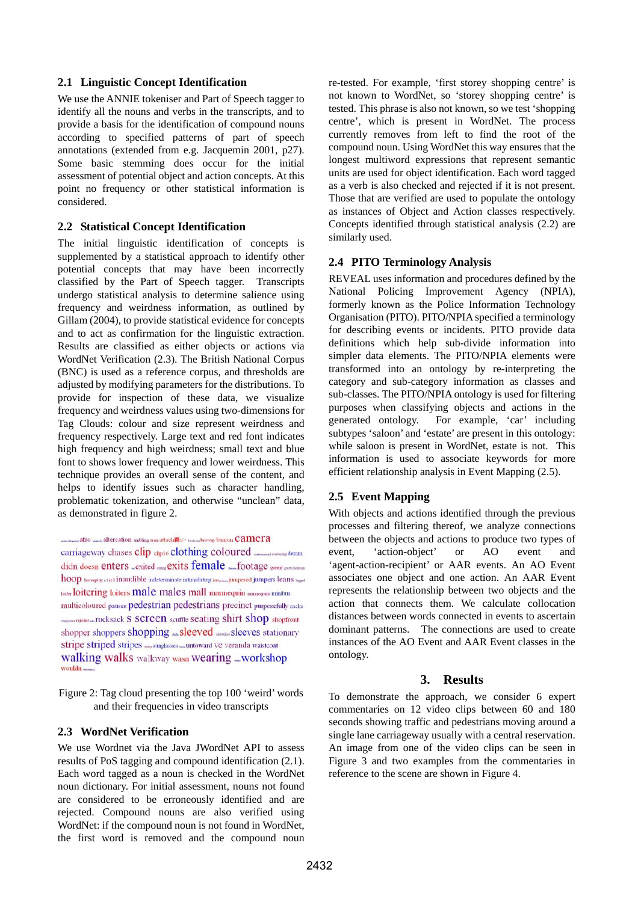## **2.1 Linguistic Concept Identification**

We use the ANNIE tokeniser and Part of Speech tagger to identify all the nouns and verbs in the transcripts, and to provide a basis for the identification of compound nouns according to specified patterns of part of speech annotations (extended from e.g. Jacquemin 2001, p27). Some basic stemming does occur for the initial assessment of potential object and action concepts. At this point no frequency or other statistical information is considered.

#### **2.2 Statistical Concept Identification**

The initial linguistic identification of concepts is supplemented by a statistical approach to identify other potential concepts that may have been incorrectly classified by the Part of Speech tagger. Transcripts undergo statistical analysis to determine salience using frequency and weirdness information, as outlined by Gillam (2004), to provide statistical evidence for concepts and to act as confirmation for the linguistic extraction. Results are classified as either objects or actions via WordNet Verification (2.3). The British National Corpus (BNC) is used as a reference corpus, and thresholds are adjusted by modifying parameters for the distributions. To provide for inspection of these data, we visualize frequency and weirdness values using two-dimensions for Tag Clouds: colour and size represent weirdness and frequency respectively. Large text and red font indicates high frequency and high weirdness; small text and blue font to shows lower frequency and lower weirdness. This technique provides an overall sense of the content, and helps to identify issues such as character handling, problematic tokenization, and otherwise "unclean" data, as demonstrated in figure 2.

afro and ing area attached a between browns bunton Camera carriageway chases clip dip16 clothing coloured stromen denim hoop horseplay et ics inaudible indeterminate infinidating imposition purpered jumpers leans  $\nu_{\rm age}$ toitering loiters male males mall mannequin management minibus multicoloured pauses pedestrian pedestrians precinct purposefully racks magen rejoins a rucksack S SCreen scuffle seating shirt shop shopfront shopper shoppers shopping \_sleeved seeins sleeves stationary stripe striped stripes my sunglasses an untoward Ve veranda waistcoat walking walks walkway wasn wearing \_workshop wouldn -

Figure 2: Tag cloud presenting the top 100 'weird' words and their frequencies in video transcripts

# **2.3 WordNet Verification**

We use Wordnet via the Java JWordNet API to assess results of PoS tagging and compound identification (2.1). Each word tagged as a noun is checked in the WordNet noun dictionary. For initial assessment, nouns not found are considered to be erroneously identified and are rejected. Compound nouns are also verified using WordNet: if the compound noun is not found in WordNet, the first word is removed and the compound noun re-tested. For example, 'first storey shopping centre' is not known to WordNet, so 'storey shopping centre' is tested. This phrase is also not known, so we test 'shopping centre', which is present in WordNet. The process currently removes from left to find the root of the compound noun. Using WordNet this way ensures that the longest multiword expressions that represent semantic units are used for object identification. Each word tagged as a verb is also checked and rejected if it is not present. Those that are verified are used to populate the ontology as instances of Object and Action classes respectively. Concepts identified through statistical analysis (2.2) are similarly used.

## **2.4 PITO Terminology Analysis**

REVEAL uses information and procedures defined by the National Policing Improvement Agency (NPIA), formerly known as the Police Information Technology Organisation (PITO). PITO/NPIA specified a terminology for describing events or incidents. PITO provide data definitions which help sub-divide information into simpler data elements. The PITO/NPIA elements were transformed into an ontology by re-interpreting the category and sub-category information as classes and sub-classes. The PITO/NPIA ontology is used for filtering purposes when classifying objects and actions in the generated ontology. For example, 'car' including subtypes 'saloon' and 'estate' are present in this ontology: while saloon is present in WordNet, estate is not. This information is used to associate keywords for more efficient relationship analysis in Event Mapping (2.5).

## **2.5 Event Mapping**

With objects and actions identified through the previous processes and filtering thereof, we analyze connections between the objects and actions to produce two types of event, 'action-object' or AO event and 'agent-action-recipient' or AAR events. An AO Event associates one object and one action. An AAR Event represents the relationship between two objects and the action that connects them. We calculate collocation distances between words connected in events to ascertain dominant patterns. The connections are used to create instances of the AO Event and AAR Event classes in the ontology.

# **3. Results**

To demonstrate the approach, we consider 6 expert commentaries on 12 video clips between 60 and 180 seconds showing traffic and pedestrians moving around a single lane carriageway usually with a central reservation. An image from one of the video clips can be seen in Figure 3 and two examples from the commentaries in reference to the scene are shown in Figure 4.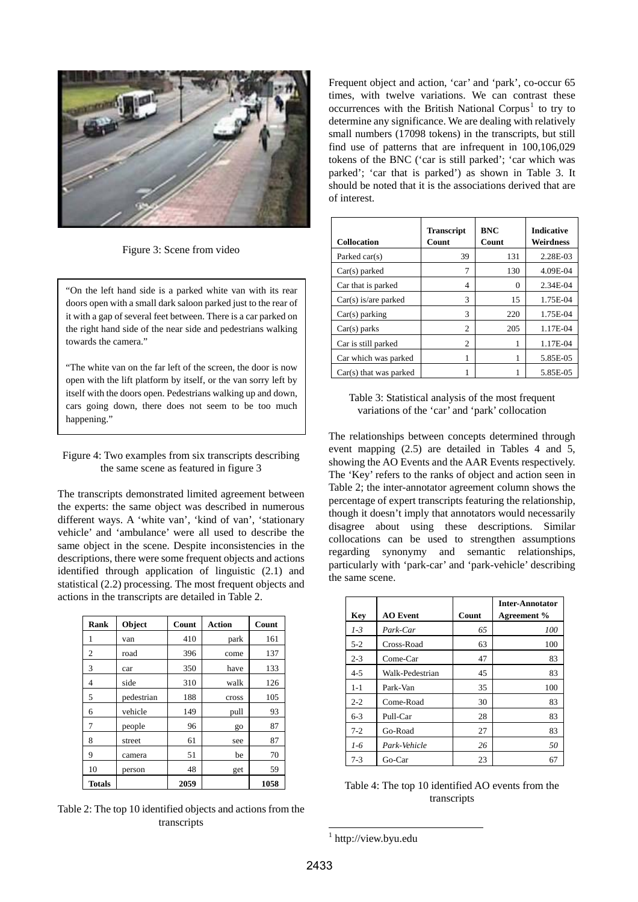

Figure 3: Scene from video

"On the left hand side is a parked white van with its rear doors open with a small dark saloon parked just to the rear of it with a gap of several feet between. There is a car parked on the right hand side of the near side and pedestrians walking towards the camera."

"The white van on the far left of the screen, the door is now open with the lift platform by itself, or the van sorry left by itself with the doors open. Pedestrians walking up and down, cars going down, there does not seem to be too much happening."

#### Figure 4: Two examples from six transcripts describing the same scene as featured in figure 3

The transcripts demonstrated limited agreement between the experts: the same object was described in numerous different ways. A 'white van', 'kind of van', 'stationary vehicle' and 'ambulance' were all used to describe the same object in the scene. Despite inconsistencies in the descriptions, there were some frequent objects and actions identified through application of linguistic (2.1) and statistical (2.2) processing. The most frequent objects and actions in the transcripts are detailed in Table 2.

| Rank          | Object     | Count | <b>Action</b> | Count |
|---------------|------------|-------|---------------|-------|
| 1             | van        | 410   | park          | 161   |
| 2             | road       | 396   | come          | 137   |
| 3             | car        | 350   | have          | 133   |
| 4             | side       | 310   | walk          | 126   |
| 5             | pedestrian | 188   | cross         | 105   |
| 6             | vehicle    | 149   | pull          | 93    |
| 7             | people     | 96    | go            | 87    |
| 8             | street     | 61    | see           | 87    |
| 9             | camera     | 51    | be            | 70    |
| 10            | person     | 48    | get           | 59    |
| <b>Totals</b> |            | 2059  |               | 1058  |

<span id="page-3-0"></span>Table 2: The top 10 identified objects and actions from the transcripts

Frequent object and action, 'car' and 'park', co-occur 65 times, with twelve variations. We can contrast these occurrences with the British National Corpus<sup>[1](#page-3-0)</sup> to try to determine any significance. We are dealing with relatively small numbers (17098 tokens) in the transcripts, but still find use of patterns that are infrequent in 100,106,029 tokens of the BNC ('car is still parked'; 'car which was parked'; 'car that is parked') as shown in Table 3. It should be noted that it is the associations derived that are of interest.

| <b>Collocation</b>       | <b>Transcript</b><br>Count | <b>BNC</b><br>Count | <b>Indicative</b><br>Weirdness |
|--------------------------|----------------------------|---------------------|--------------------------------|
| Parked car(s)            | 39                         | 131                 | 2.28E-03                       |
| $Car(s)$ parked          | 7                          | 130                 | 4.09E-04                       |
| Car that is parked       | 4                          | 0                   | 2.34E-04                       |
| $Car(s)$ is/are parked   | 3                          | 15                  | 1.75E-04                       |
| $Car(s)$ parking         | $\mathcal{R}$              | 220                 | 1.75E-04                       |
| $Car(s)$ parks           | $\overline{c}$             | 205                 | 1.17E-04                       |
| Car is still parked      | $\overline{c}$             | 1                   | 1.17E-04                       |
| Car which was parked     | 1                          | 1                   | 5.85E-05                       |
| $Car(s)$ that was parked |                            |                     | 5.85E-05                       |



The relationships between concepts determined through event mapping (2.5) are detailed in Tables 4 and 5, showing the AO Events and the AAR Events respectively. The 'Key' refers to the ranks of object and action seen in Table 2; the inter-annotator agreement column shows the percentage of expert transcripts featuring the relationship, though it doesn't imply that annotators would necessarily disagree about using these descriptions. Similar collocations can be used to strengthen assumptions regarding synonymy and semantic relationships, particularly with 'park-car' and 'park-vehicle' describing the same scene.

| Key     | <b>AO</b> Event | Count | Inter-Annotator<br>Agreement % |
|---------|-----------------|-------|--------------------------------|
| $1 - 3$ | Park-Car        | 65    | 100                            |
| $5 - 2$ | Cross-Road      | 63    | 100                            |
| $2 - 3$ | Come-Car        | 47    | 83                             |
| $4 - 5$ | Walk-Pedestrian | 45    | 83                             |
| $1 - 1$ | Park-Van        | 35    | 100                            |
| $2 - 2$ | Come-Road       | 30    | 83                             |
| $6 - 3$ | Pull-Car        | 28    | 83                             |
| $7-2$   | Go-Road         | 27    | 83                             |
| $1-6$   | Park-Vehicle    | 26    | 50                             |
| $7 - 3$ | Go-Car          | 23    | 67                             |

Table 4: The top 10 identified AO events from the transcripts

l 1 http://view.byu.edu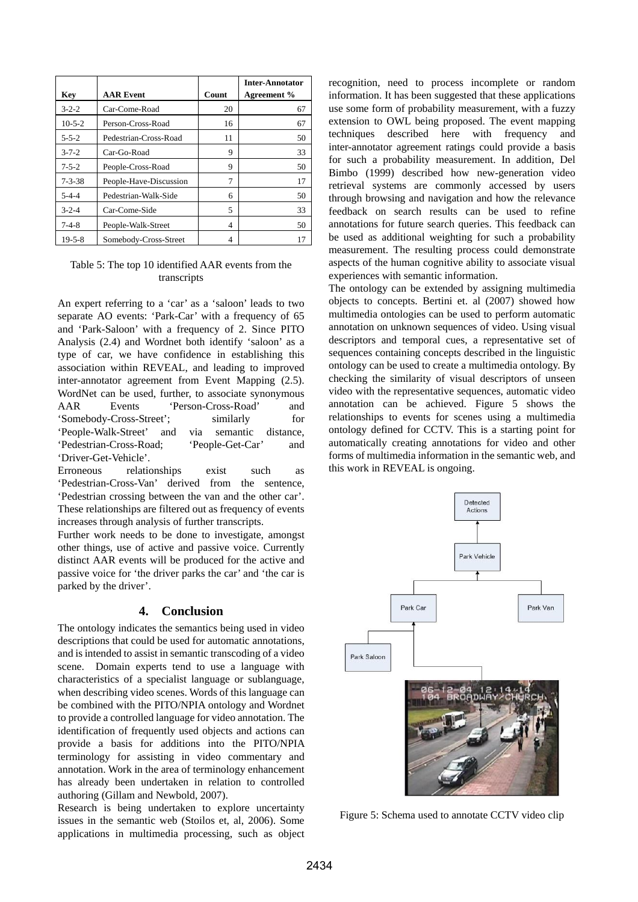|              |                        |       | <b>Inter-Annotator</b> |
|--------------|------------------------|-------|------------------------|
| Key          | <b>AAR Event</b>       | Count | Agreement %            |
| $3 - 2 - 2$  | Car-Come-Road          | 20    | 67                     |
| $10-5-2$     | Person-Cross-Road      | 16    | 67                     |
| $5 - 5 - 2$  | Pedestrian-Cross-Road  | 11    | 50                     |
| $3 - 7 - 2$  | Car-Go-Road            | 9     | 33                     |
| $7 - 5 - 2$  | People-Cross-Road      | 9     | 50                     |
| $7 - 3 - 38$ | People-Have-Discussion | 7     | 17                     |
| $5 - 4 - 4$  | Pedestrian-Walk-Side   | 6     | 50                     |
| $3 - 2 - 4$  | Car-Come-Side          | 5     | 33                     |
| $7 - 4 - 8$  | People-Walk-Street     | 4     | 50                     |
| $19 - 5 - 8$ | Somebody-Cross-Street  | 4     | 17                     |

## Table 5: The top 10 identified AAR events from the transcripts

An expert referring to a 'car' as a 'saloon' leads to two separate AO events: 'Park-Car' with a frequency of 65 and 'Park-Saloon' with a frequency of 2. Since PITO Analysis (2.4) and Wordnet both identify 'saloon' as a type of car, we have confidence in establishing this association within REVEAL, and leading to improved inter-annotator agreement from Event Mapping (2.5). WordNet can be used, further, to associate synonymous AAR Events 'Person-Cross-Road' and 'Somebody-Cross-Street'; similarly for 'People-Walk-Street' and via semantic distance, 'Pedestrian-Cross-Road; 'People-Get-Car' and 'Driver-Get-Vehicle'.

Erroneous relationships exist such as 'Pedestrian-Cross-Van' derived from the sentence, 'Pedestrian crossing between the van and the other car'. These relationships are filtered out as frequency of events increases through analysis of further transcripts.

Further work needs to be done to investigate, amongst other things, use of active and passive voice. Currently distinct AAR events will be produced for the active and passive voice for 'the driver parks the car' and 'the car is parked by the driver'.

# **4. Conclusion**

The ontology indicates the semantics being used in video descriptions that could be used for automatic annotations, and is intended to assist in semantic transcoding of a video scene. Domain experts tend to use a language with characteristics of a specialist language or sublanguage, when describing video scenes. Words of this language can be combined with the PITO/NPIA ontology and Wordnet to provide a controlled language for video annotation. The identification of frequently used objects and actions can provide a basis for additions into the PITO/NPIA terminology for assisting in video commentary and annotation. Work in the area of terminology enhancement has already been undertaken in relation to controlled authoring (Gillam and Newbold, 2007).

Research is being undertaken to explore uncertainty issues in the semantic web (Stoilos et, al, 2006). Some applications in multimedia processing, such as object recognition, need to process incomplete or random information. It has been suggested that these applications use some form of probability measurement, with a fuzzy extension to OWL being proposed. The event mapping techniques described here with frequency and inter-annotator agreement ratings could provide a basis for such a probability measurement. In addition, Del Bimbo (1999) described how new-generation video retrieval systems are commonly accessed by users through browsing and navigation and how the relevance feedback on search results can be used to refine annotations for future search queries. This feedback can be used as additional weighting for such a probability measurement. The resulting process could demonstrate aspects of the human cognitive ability to associate visual experiences with semantic information.

The ontology can be extended by assigning multimedia objects to concepts. Bertini et. al (2007) showed how multimedia ontologies can be used to perform automatic annotation on unknown sequences of video. Using visual descriptors and temporal cues, a representative set of sequences containing concepts described in the linguistic ontology can be used to create a multimedia ontology. By checking the similarity of visual descriptors of unseen video with the representative sequences, automatic video annotation can be achieved. Figure 5 shows the relationships to events for scenes using a multimedia ontology defined for CCTV. This is a starting point for automatically creating annotations for video and other forms of multimedia information in the semantic web, and this work in REVEAL is ongoing.



Figure 5: Schema used to annotate CCTV video clip